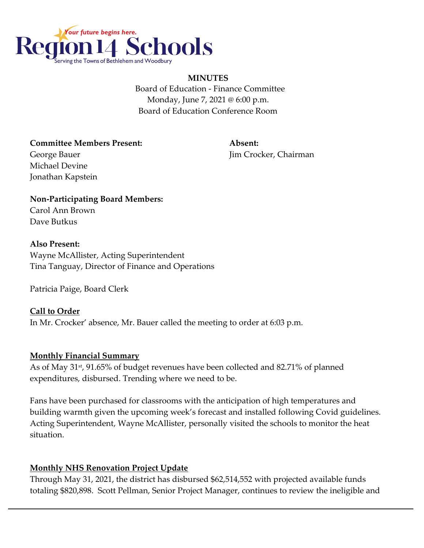

#### **MINUTES**

 Board of Education - Finance Committee Monday, June 7, 2021 @ 6:00 p.m. Board of Education Conference Room

**Committee Members Present: Absent:** George Bauer **George Bauer Jim Crocker, Chairman** Michael Devine Jonathan Kapstein

**Non-Participating Board Members:** Carol Ann Brown Dave Butkus

#### **Also Present:**

Wayne McAllister, Acting Superintendent Tina Tanguay, Director of Finance and Operations

Patricia Paige, Board Clerk

## **Call to Order**

In Mr. Crocker' absence, Mr. Bauer called the meeting to order at 6:03 p.m.

## **Monthly Financial Summary**

As of May 31st, 91.65% of budget revenues have been collected and 82.71% of planned expenditures, disbursed. Trending where we need to be.

Fans have been purchased for classrooms with the anticipation of high temperatures and building warmth given the upcoming week's forecast and installed following Covid guidelines. Acting Superintendent, Wayne McAllister, personally visited the schools to monitor the heat situation.

## **Monthly NHS Renovation Project Update**

Through May 31, 2021, the district has disbursed \$62,514,552 with projected available funds totaling \$820,898. Scott Pellman, Senior Project Manager, continues to review the ineligible and